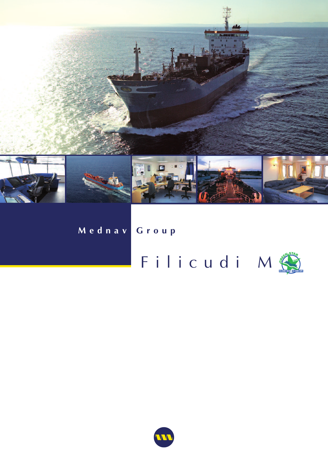

## Mednav Group

## Filicudi M